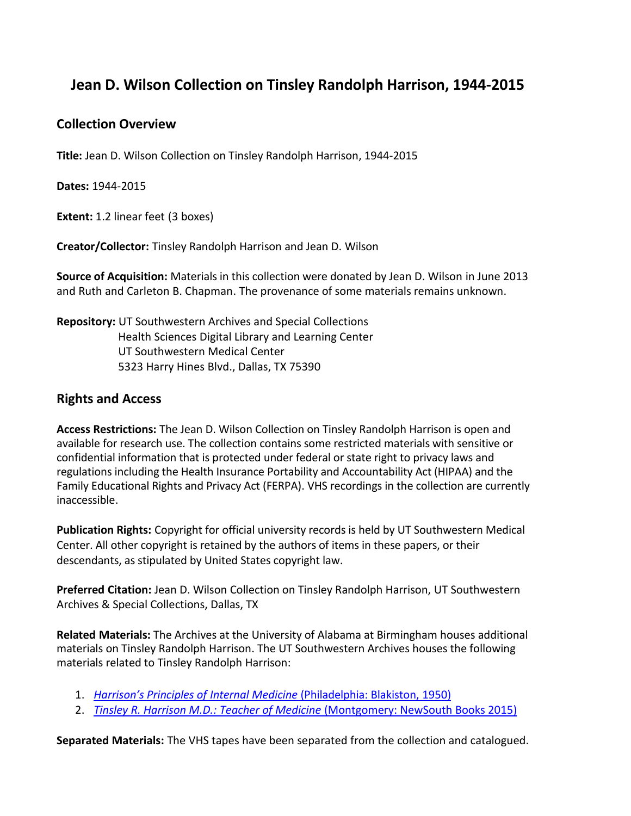# **Jean D. Wilson Collection on Tinsley Randolph Harrison, 1944-2015**

## **Collection Overview**

**Title:** Jean D. Wilson Collection on Tinsley Randolph Harrison, 1944-2015

**Dates:** 1944-2015

**Extent:** 1.2 linear feet (3 boxes)

**Creator/Collector:** Tinsley Randolph Harrison and Jean D. Wilson

**Source of Acquisition:** Materials in this collection were donated by Jean D. Wilson in June 2013 and Ruth and Carleton B. Chapman. The provenance of some materials remains unknown.

**Repository:** UT Southwestern Archives and Special Collections Health Sciences Digital Library and Learning Center UT Southwestern Medical Center 5323 Harry Hines Blvd., Dallas, TX 75390

### **Rights and Access**

**Access Restrictions:** The Jean D. Wilson Collection on Tinsley Randolph Harrison is open and available for research use. The collection contains some restricted materials with sensitive or confidential information that is protected under federal or state right to privacy laws and regulations including the Health Insurance Portability and Accountability Act (HIPAA) and the Family Educational Rights and Privacy Act (FERPA). VHS recordings in the collection are currently inaccessible.

**Publication Rights:** Copyright for official university records is held by UT Southwestern Medical Center. All other copyright is retained by the authors of items in these papers, or their descendants, as stipulated by United States copyright law.

**Preferred Citation:** Jean D. Wilson Collection on Tinsley Randolph Harrison, UT Southwestern Archives & Special Collections, Dallas, TX

**Related Materials:** The Archives at the University of Alabama at Birmingham houses additional materials on Tinsley Randolph Harrison. The UT Southwestern Archives houses the following materials related to Tinsley Randolph Harrison:

- 1. *Harrison's Principles of Internal Medicine* [\(Philadelphia:](https://utswm.bywatersolutions.com/cgi-bin/koha/opac-detail.pl?biblionumber=38857&query_desc=kw%2Cwrdl%3A%20WB%20115%20H322P%201950) Blakiston, 1950)
- 2. *[Tinsley R. Harrison M.D.: Teacher of Medicine](https://utswm.bywatersolutions.com/cgi-bin/koha/opac-detail.pl?biblionumber=375286)* (Montgomery: NewSouth Books 2015)

**Separated Materials:** The VHS tapes have been separated from the collection and catalogued.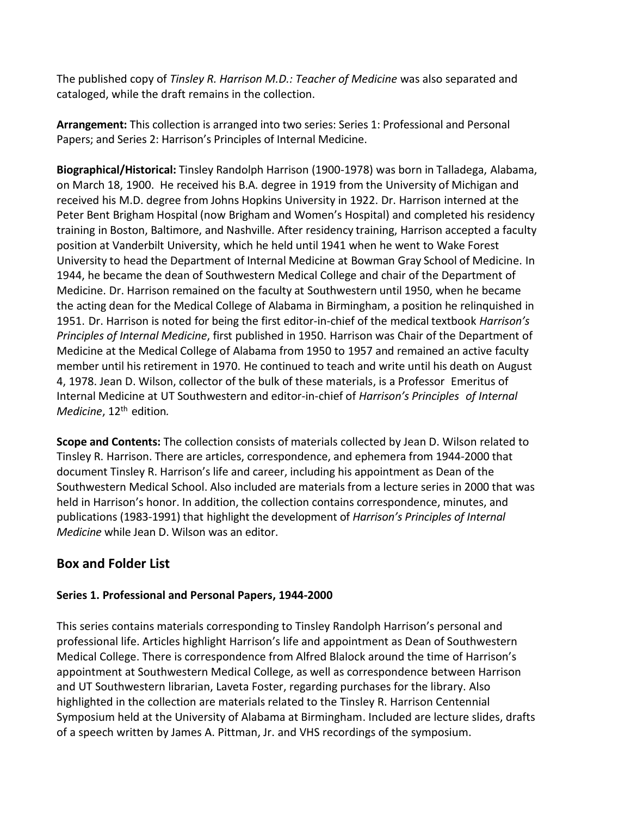The published copy of *Tinsley R. Harrison M.D.: Teacher of Medicine* was also separated and cataloged, while the draft remains in the collection.

**Arrangement:** This collection is arranged into two series: Series 1: Professional and Personal Papers; and Series 2: Harrison's Principles of Internal Medicine.

**Biographical/Historical:** Tinsley Randolph Harrison (1900-1978) was born in Talladega, Alabama, on March 18, 1900. He received his B.A. degree in 1919 from the University of Michigan and received his M.D. degree from Johns Hopkins University in 1922. Dr. Harrison interned at the Peter Bent Brigham Hospital (now Brigham and Women's Hospital) and completed his residency training in Boston, Baltimore, and Nashville. After residency training, Harrison accepted a faculty position at Vanderbilt University, which he held until 1941 when he went to Wake Forest University to head the Department of Internal Medicine at Bowman Gray School of Medicine. In 1944, he became the dean of Southwestern Medical College and chair of the Department of Medicine. Dr. Harrison remained on the faculty at Southwestern until 1950, when he became the acting dean for the Medical College of Alabama in Birmingham, a position he relinquished in 1951. Dr. Harrison is noted for being the first editor-in-chief of the medical textbook *Harrison's Principles of Internal Medicine*, first published in 1950. Harrison was Chair of the Department of Medicine at the Medical College of Alabama from 1950 to 1957 and remained an active faculty member until his retirement in 1970. He continued to teach and write until his death on August 4, 1978. Jean D. Wilson, collector of the bulk of these materials, is a Professor Emeritus of Internal Medicine at UT Southwestern and editor-in-chief of *Harrison's Principles of Internal Medicine*, 12th edition*.*

**Scope and Contents:** The collection consists of materials collected by Jean D. Wilson related to Tinsley R. Harrison. There are articles, correspondence, and ephemera from 1944-2000 that document Tinsley R. Harrison's life and career, including his appointment as Dean of the Southwestern Medical School. Also included are materials from a lecture series in 2000 that was held in Harrison's honor. In addition, the collection contains correspondence, minutes, and publications (1983-1991) that highlight the development of *Harrison's Principles of Internal Medicine* while Jean D. Wilson was an editor.

# **Box and Folder List**

#### **Series 1. Professional and Personal Papers, 1944-2000**

This series contains materials corresponding to Tinsley Randolph Harrison's personal and professional life. Articles highlight Harrison's life and appointment as Dean of Southwestern Medical College. There is correspondence from Alfred Blalock around the time of Harrison's appointment at Southwestern Medical College, as well as correspondence between Harrison and UT Southwestern librarian, Laveta Foster, regarding purchases for the library. Also highlighted in the collection are materials related to the Tinsley R. Harrison Centennial Symposium held at the University of Alabama at Birmingham. Included are lecture slides, drafts of a speech written by James A. Pittman, Jr. and VHS recordings of the symposium.